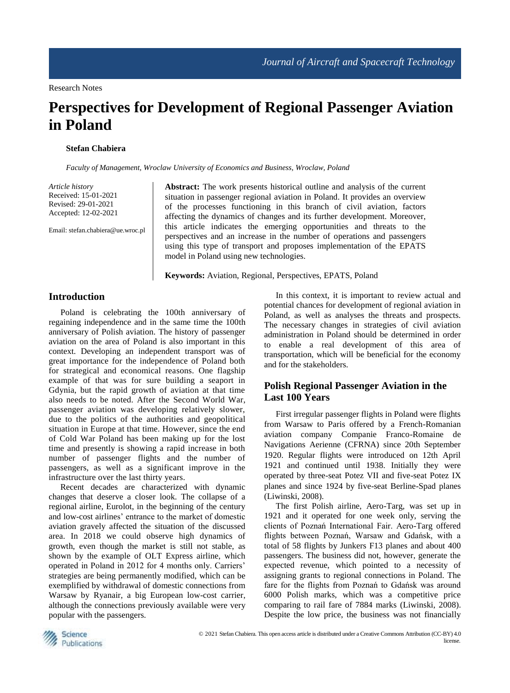# **Perspectives for Development of Regional Passenger Aviation in Poland**

#### **Stefan Chabiera**

*Faculty of Management, Wroclaw University of Economics and Business, Wroclaw, Poland*

*Article history* Received: 15-01-2021 Revised: 29-01-2021 Accepted: 12-02-2021

Email: stefan.chabiera@ue.wroc.pl

**Abstract:** The work presents historical outline and analysis of the current situation in passenger regional aviation in Poland. It provides an overview of the processes functioning in this branch of civil aviation, factors affecting the dynamics of changes and its further development. Moreover, this article indicates the emerging opportunities and threats to the perspectives and an increase in the number of operations and passengers using this type of transport and proposes implementation of the EPATS model in Poland using new technologies.

**Keywords:** Aviation, Regional, Perspectives, EPATS, Poland

### **Introduction**

Poland is celebrating the 100th anniversary of regaining independence and in the same time the 100th anniversary of Polish aviation. The history of passenger aviation on the area of Poland is also important in this context. Developing an independent transport was of great importance for the independence of Poland both for strategical and economical reasons. One flagship example of that was for sure building a seaport in Gdynia, but the rapid growth of aviation at that time also needs to be noted. After the Second World War, passenger aviation was developing relatively slower, due to the politics of the authorities and geopolitical situation in Europe at that time. However, since the end of Cold War Poland has been making up for the lost time and presently is showing a rapid increase in both number of passenger flights and the number of passengers, as well as a significant improve in the infrastructure over the last thirty years.

Recent decades are characterized with dynamic changes that deserve a closer look. The collapse of a regional airline, Eurolot, in the beginning of the century and low-cost airlines' entrance to the market of domestic aviation gravely affected the situation of the discussed area. In 2018 we could observe high dynamics of growth, even though the market is still not stable, as shown by the example of OLT Express airline, which operated in Poland in 2012 for 4 months only. Carriers' strategies are being permanently modified, which can be exemplified by withdrawal of domestic connections from Warsaw by Ryanair, a big European low-cost carrier, although the connections previously available were very popular with the passengers.

In this context, it is important to review actual and potential chances for development of regional aviation in Poland, as well as analyses the threats and prospects. The necessary changes in strategies of civil aviation administration in Poland should be determined in order to enable a real development of this area of transportation, which will be beneficial for the economy and for the stakeholders.

## **Polish Regional Passenger Aviation in the Last 100 Years**

First irregular passenger flights in Poland were flights from Warsaw to Paris offered by a French-Romanian aviation company Companie Franco-Romaine de Navigations Aerienne (CFRNA) since 20th September 1920. Regular flights were introduced on 12th April 1921 and continued until 1938. Initially they were operated by three-seat Potez VII and five-seat Potez IX planes and since 1924 by five-seat Berline-Spad planes (Liwinski, 2008).

The first Polish airline, Aero-Targ, was set up in 1921 and it operated for one week only, serving the clients of Poznań International Fair. Aero-Targ offered flights between Poznań, Warsaw and Gdańsk, with a total of 58 flights by Junkers F13 planes and about 400 passengers. The business did not, however, generate the expected revenue, which pointed to a necessity of assigning grants to regional connections in Poland. The fare for the flights from Poznań to Gdańsk was around 6000 Polish marks, which was a competitive price comparing to rail fare of 7884 marks (Liwinski, 2008). Despite the low price, the business was not financially

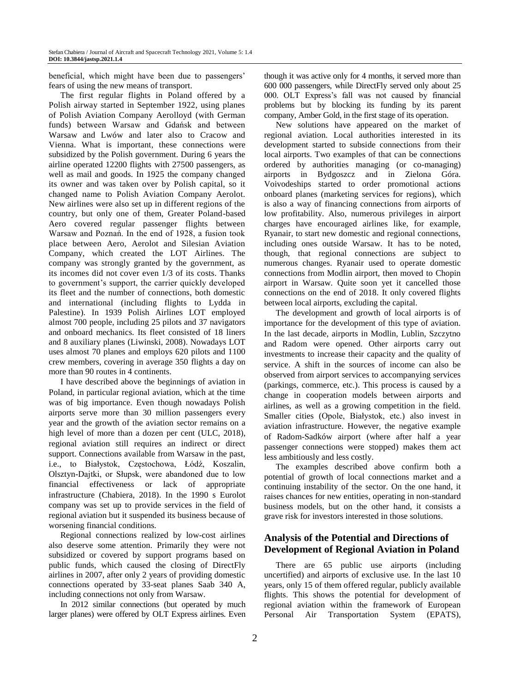beneficial, which might have been due to passengers' fears of using the new means of transport.

The first regular flights in Poland offered by a Polish airway started in September 1922, using planes of Polish Aviation Company Aerolloyd (with German funds) between Warsaw and Gdańsk and between Warsaw and Lwów and later also to Cracow and Vienna. What is important, these connections were subsidized by the Polish government. During 6 years the airline operated 12200 flights with 27500 passengers, as well as mail and goods. In 1925 the company changed its owner and was taken over by Polish capital, so it changed name to Polish Aviation Company Aerolot. New airlines were also set up in different regions of the country, but only one of them, Greater Poland-based Aero covered regular passenger flights between Warsaw and Poznań. In the end of 1928, a fusion took place between Aero, Aerolot and Silesian Aviation Company, which created the LOT Airlines. The company was strongly granted by the government, as its incomes did not cover even 1/3 of its costs. Thanks to government's support, the carrier quickly developed its fleet and the number of connections, both domestic and international (including flights to Lydda in Palestine). In 1939 Polish Airlines LOT employed almost 700 people, including 25 pilots and 37 navigators and onboard mechanics. Its fleet consisted of 18 liners and 8 auxiliary planes (Liwinski, 2008). Nowadays LOT uses almost 70 planes and employs 620 pilots and 1100 crew members, covering in average 350 flights a day on more than 90 routes in 4 continents.

I have described above the beginnings of aviation in Poland, in particular regional aviation, which at the time was of big importance. Even though nowadays Polish airports serve more than 30 million passengers every year and the growth of the aviation sector remains on a high level of more than a dozen per cent (ULC, 2018), regional aviation still requires an indirect or direct support. Connections available from Warsaw in the past, i.e., to Białystok, Częstochowa, Łódź, Koszalin, Olsztyn-Dajtki, or Słupsk, were abandoned due to low financial effectiveness or lack of appropriate infrastructure (Chabiera, 2018). In the 1990 s Eurolot company was set up to provide services in the field of regional aviation but it suspended its business because of worsening financial conditions.

Regional connections realized by low-cost airlines also deserve some attention. Primarily they were not subsidized or covered by support programs based on public funds, which caused the closing of DirectFly airlines in 2007, after only 2 years of providing domestic connections operated by 33-seat planes Saab 340 A, including connections not only from Warsaw.

In 2012 similar connections (but operated by much larger planes) were offered by OLT Express airlines. Even

though it was active only for 4 months, it served more than 600 000 passengers, while DirectFly served only about 25 000. OLT Express's fall was not caused by financial problems but by blocking its funding by its parent company, Amber Gold, in the first stage of its operation.

New solutions have appeared on the market of regional aviation. Local authorities interested in its development started to subside connections from their local airports. Two examples of that can be connections ordered by authorities managing (or co-managing) airports in Bydgoszcz and in Zielona Góra. Voivodeships started to order promotional actions onboard planes (marketing services for regions), which is also a way of financing connections from airports of low profitability. Also, numerous privileges in airport charges have encouraged airlines like, for example, Ryanair, to start new domestic and regional connections, including ones outside Warsaw. It has to be noted, though, that regional connections are subject to numerous changes. Ryanair used to operate domestic connections from Modlin airport, then moved to Chopin airport in Warsaw. Quite soon yet it cancelled those connections on the end of 2018. It only covered flights between local airports, excluding the capital.

The development and growth of local airports is of importance for the development of this type of aviation. In the last decade, airports in Modlin, Lublin, Szczytno and Radom were opened. Other airports carry out investments to increase their capacity and the quality of service. A shift in the sources of income can also be observed from airport services to accompanying services (parkings, commerce, etc.). This process is caused by a change in cooperation models between airports and airlines, as well as a growing competition in the field. Smaller cities (Opole, Białystok, etc.) also invest in aviation infrastructure. However, the negative example of Radom-Sadków airport (where after half a year passenger connections were stopped) makes them act less ambitiously and less costly.

The examples described above confirm both a potential of growth of local connections market and a continuing instability of the sector. On the one hand, it raises chances for new entities, operating in non-standard business models, but on the other hand, it consists a grave risk for investors interested in those solutions.

## **Analysis of the Potential and Directions of Development of Regional Aviation in Poland**

There are 65 public use airports (including uncertified) and airports of exclusive use. In the last 10 years, only 15 of them offered regular, publicly available flights. This shows the potential for development of regional aviation within the framework of European Personal Air Transportation System (EPATS),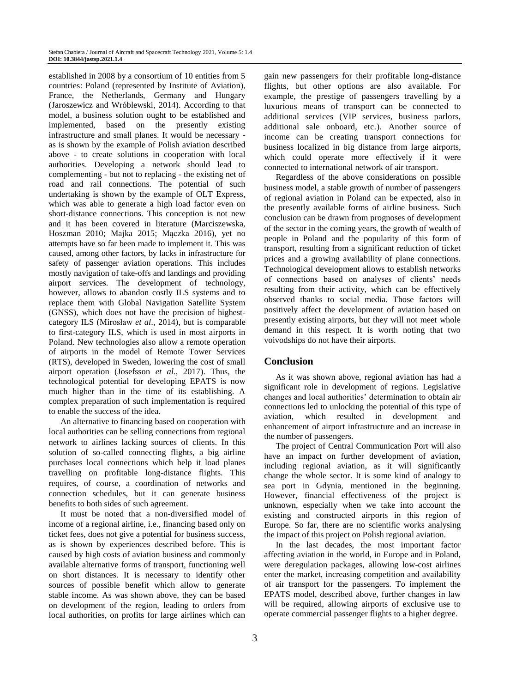established in 2008 by a consortium of 10 entities from 5 countries: Poland (represented by Institute of Aviation), France, the Netherlands, Germany and Hungary (Jaroszewicz and Wróblewski, 2014). According to that model, a business solution ought to be established and implemented, based on the presently existing infrastructure and small planes. It would be necessary as is shown by the example of Polish aviation described above - to create solutions in cooperation with local authorities. Developing a network should lead to complementing - but not to replacing - the existing net of road and rail connections. The potential of such undertaking is shown by the example of OLT Express, which was able to generate a high load factor even on short-distance connections. This conception is not new and it has been covered in literature (Marciszewska, Hoszman 2010; Majka 2015; Mączka 2016), yet no attempts have so far been made to implement it. This was caused, among other factors, by lacks in infrastructure for safety of passenger aviation operations. This includes mostly navigation of take-offs and landings and providing airport services. The development of technology, however, allows to abandon costly ILS systems and to replace them with Global Navigation Satellite System (GNSS), which does not have the precision of highestcategory ILS (Mirosław *et al*., 2014), but is comparable to first-category ILS, which is used in most airports in Poland. New technologies also allow a remote operation of airports in the model of Remote Tower Services (RTS), developed in Sweden, lowering the cost of small airport operation (Josefsson *et al*., 2017). Thus, the technological potential for developing EPATS is now much higher than in the time of its establishing. A complex preparation of such implementation is required to enable the success of the idea.

An alternative to financing based on cooperation with local authorities can be selling connections from regional network to airlines lacking sources of clients. In this solution of so-called connecting flights, a big airline purchases local connections which help it load planes travelling on profitable long-distance flights. This requires, of course, a coordination of networks and connection schedules, but it can generate business benefits to both sides of such agreement.

It must be noted that a non-diversified model of income of a regional airline, i.e., financing based only on ticket fees, does not give a potential for business success, as is shown by experiences described before. This is caused by high costs of aviation business and commonly available alternative forms of transport, functioning well on short distances. It is necessary to identify other sources of possible benefit which allow to generate stable income. As was shown above, they can be based on development of the region, leading to orders from local authorities, on profits for large airlines which can

gain new passengers for their profitable long-distance flights, but other options are also available. For example, the prestige of passengers travelling by a luxurious means of transport can be connected to additional services (VIP services, business parlors, additional sale onboard, etc.). Another source of income can be creating transport connections for business localized in big distance from large airports, which could operate more effectively if it were connected to international network of air transport.

Regardless of the above considerations on possible business model, a stable growth of number of passengers of regional aviation in Poland can be expected, also in the presently available forms of airline business. Such conclusion can be drawn from prognoses of development of the sector in the coming years, the growth of wealth of people in Poland and the popularity of this form of transport, resulting from a significant reduction of ticket prices and a growing availability of plane connections. Technological development allows to establish networks of connections based on analyses of clients' needs resulting from their activity, which can be effectively observed thanks to social media. Those factors will positively affect the development of aviation based on presently existing airports, but they will not meet whole demand in this respect. It is worth noting that two voivodships do not have their airports.

#### **Conclusion**

As it was shown above, regional aviation has had a significant role in development of regions. Legislative changes and local authorities' determination to obtain air connections led to unlocking the potential of this type of aviation, which resulted in development and enhancement of airport infrastructure and an increase in the number of passengers.

The project of Central Communication Port will also have an impact on further development of aviation, including regional aviation, as it will significantly change the whole sector. It is some kind of analogy to sea port in Gdynia, mentioned in the beginning. However, financial effectiveness of the project is unknown, especially when we take into account the existing and constructed airports in this region of Europe. So far, there are no scientific works analysing the impact of this project on Polish regional aviation.

In the last decades, the most important factor affecting aviation in the world, in Europe and in Poland, were deregulation packages, allowing low-cost airlines enter the market, increasing competition and availability of air transport for the passengers. To implement the EPATS model, described above, further changes in law will be required, allowing airports of exclusive use to operate commercial passenger flights to a higher degree.